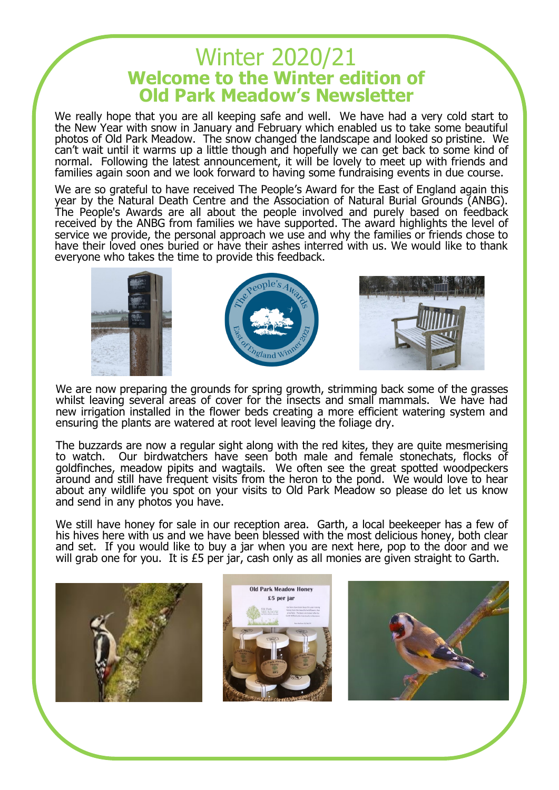## Winter 2020/21 **Welcome to the Winter edition of Old Park Meadow's Newsletter**

We really hope that you are all keeping safe and well. We have had a very cold start to the New Year with snow in January and February which enabled us to take some beautiful photos of Old Park Meadow. The snow changed the landscape and looked so pristine. We can't wait until it warms up a little though and hopefully we can get back to some kind of normal. Following the latest announcement, it will be lovely to meet up with friends and families again soon and we look forward to having some fundraising events in due course.

We are so grateful to have received The People's Award for the East of England again this year by the Natural Death Centre and the Association of Natural Burial Grounds (ANBG). The People's Awards are all about the people involved and purely based on feedback received by the ANBG from families we have supported. The award highlights the level of service we provide, the personal approach we use and why the families or friends chose to have their loved ones buried or have their ashes interred with us. We would like to thank everyone who takes the time to provide this feedback.



We are now preparing the grounds for spring growth, strimming back some of the grasses whilst leaving several areas of cover for the insects and small mammals. We have had new irrigation installed in the flower beds creating a more efficient watering system and ensuring the plants are watered at root level leaving the foliage dry.

The buzzards are now a regular sight along with the red kites, they are quite mesmerising to watch. Our birdwatchers have seen both male and female stonechats, flocks of goldfinches, meadow pipits and wagtails. We often see the great spotted woodpeckers around and still have frequent visits from the heron to the pond. We would love to hear about any wildlife you spot on your visits to Old Park Meadow so please do let us know and send in any photos you have.

We still have honey for sale in our reception area. Garth, a local beekeeper has a few of his hives here with us and we have been blessed with the most delicious honey, both clear and set. If you would like to buy a jar when you are next here, pop to the door and we will grab one for you. It is £5 per jar, cash only as all monies are given straight to Garth.